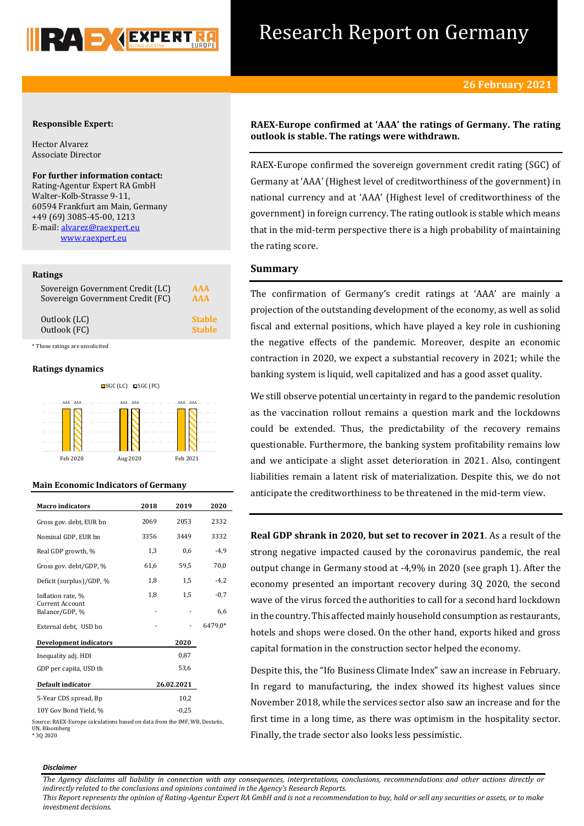

## Research Report on Germany

#### **Responsible Expert:**

Hector Alvarez Associate Director

#### **For further information contact:**

Rating-Agentur Expert RA GmbH Walter-Kolb-Strasse 9-11, 60594 Frankfurt am Main, Germany +49 (69) 3085-45-00, 1213 E-mail[: alvarez@raexpert.eu](mailto:alvarez@raexpert.eu) [www.raexpert.eu](http://raexpert.eu/)

#### **Ratings**

| Sovereign Government Credit (LC) | AAA           |
|----------------------------------|---------------|
| Sovereign Government Credit (FC) | AAA           |
| Outlook (LC)                     | <b>Stable</b> |
| Outlook (FC)                     | <b>Stable</b> |

\* These ratings are unsolicited

#### **Ratings dynamics**



#### **Main Economic Indicators of Germany**

| <b>Macro</b> indicators                  | 2018       | 2019 | 2020    |
|------------------------------------------|------------|------|---------|
| Gross gov. debt, EUR bn                  | 2069       | 2053 | 2332    |
| Nominal GDP, EUR bn                      | 3356       | 3449 | 3332    |
| Real GDP growth, %                       | 1,3        | 0,6  | $-4,9$  |
| Gross gov. debt/GDP, %                   | 61,6       | 59,5 | 70,0    |
| Deficit (surplus)/GDP, %                 | 1,8        | 1.5  | $-4.2$  |
| Inflation rate, %                        | 1,8        | 1,5  | $-0,7$  |
| <b>Current Account</b><br>Balance/GDP, % |            |      | 6,6     |
| External debt, USD bn                    |            |      | 6479,0* |
| <b>Development indicators</b>            |            | 2020 |         |
| Inequality adj. HDI                      |            | 0.87 |         |
| GDP per capita, USD th                   |            | 53,6 |         |
| Default indicator                        | 26.02.2021 |      |         |
| 5-Year CDS spread, Bp                    |            | 10,2 |         |
| 10Y Gov Bond Yield, %                    |            |      |         |

Source: RAEX-Europe calculations based on data from the IMF, WB, Destatis, UN, Bloomberg \* 3Q 2020

## **RAEX-Europe confirmed at 'AAA' the ratings of Germany. The rating outlook is stable. The ratings were withdrawn.**

RAEX-Europe confirmed the sovereign government credit rating (SGC) of Germany at 'AAA' (Highest level of creditworthiness of the government) in national currency and at 'AAA' (Highest level of creditworthiness of the government) in foreign currency. The rating outlook is stable which means that in the mid-term perspective there is a high probability of maintaining the rating score.

#### **Summary**

The confirmation of Germany's credit ratings at 'AAA' are mainly a projection of the outstanding development of the economy, as well as solid fiscal and external positions, which have played a key role in cushioning the negative effects of the pandemic. Moreover, despite an economic contraction in 2020, we expect a substantial recovery in 2021; while the banking system is liquid, well capitalized and has a good asset quality.

We still observe potential uncertainty in regard to the pandemic resolution as the vaccination rollout remains a question mark and the lockdowns could be extended. Thus, the predictability of the recovery remains questionable. Furthermore, the banking system profitability remains low and we anticipate a slight asset deterioration in 2021. Also, contingent liabilities remain a latent risk of materialization. Despite this, we do not anticipate the creditworthiness to be threatened in the mid-term view.

**Real GDP shrank in 2020, but set to recover in 2021**. As a result of the strong negative impacted caused by the coronavirus pandemic, the real output change in Germany stood at -4,9% in 2020 (see graph 1). After the economy presented an important recovery during 3Q 2020, the second wave of the virus forced the authorities to call for a second hard lockdown in the country. This affected mainly household consumption as restaurants, hotels and shops were closed. On the other hand, exports hiked and gross capital formation in the construction sector helped the economy.

Despite this, the "Ifo Business Climate Index" saw an increase in February. In regard to manufacturing, the index showed its highest values since November 2018, while the services sector also saw an increase and for the first time in a long time, as there was optimism in the hospitality sector. Finally, the trade sector also looks less pessimistic.

#### *Disclaimer*

*The Agency disclaims all liability in connection with any consequences, interpretations, conclusions, recommendations and other actions directly or indirectly related to the conclusions and opinions contained in the Agency's Research Reports.*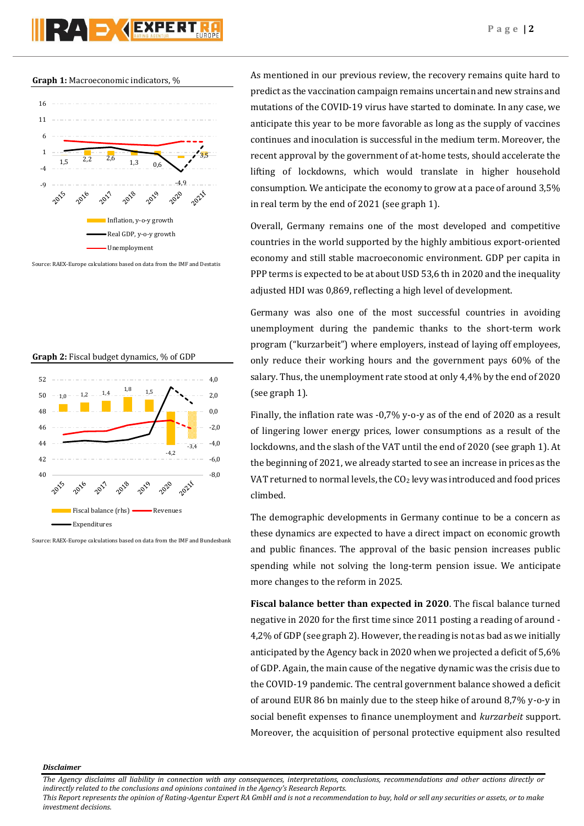#### **Graph 1:** Macroeconomic indicators, %



Source: RAEX-Europe calculations based on data from the IMF and Destatis

#### **Graph 2:** Fiscal budget dynamics, % of GDP



Source: RAEX-Europe calculations based on data from the IMF and Bundesbank

As mentioned in our previous review, the recovery remains quite hard to predict as the vaccination campaign remains uncertain and new strains and mutations of the COVID-19 virus have started to dominate. In any case, we anticipate this year to be more favorable as long as the supply of vaccines continues and inoculation is successful in the medium term. Moreover, the recent approval by the government of at-home tests, should accelerate the lifting of lockdowns, which would translate in higher household consumption. We anticipate the economy to grow at a pace of around 3,5% in real term by the end of 2021 (see graph 1).

Overall, Germany remains one of the most developed and competitive countries in the world supported by the highly ambitious export-oriented economy and still stable macroeconomic environment. GDP per capita in PPP terms is expected to be at about USD 53,6 th in 2020 and the inequality adjusted HDI was 0,869, reflecting a high level of development.

Germany was also one of the most successful countries in avoiding unemployment during the pandemic thanks to the short-term work program ("kurzarbeit") where employers, instead of laying off employees, only reduce their working hours and the government pays 60% of the salary. Thus, the unemployment rate stood at only 4,4% by the end of 2020 (see graph 1).

Finally, the inflation rate was -0,7% y-o-y as of the end of 2020 as a result of lingering lower energy prices, lower consumptions as a result of the lockdowns, and the slash of the VAT until the end of 2020 (see graph 1). At the beginning of 2021, we already started to see an increase in prices as the VAT returned to normal levels, the  $CO<sub>2</sub>$  levy was introduced and food prices climbed.

The demographic developments in Germany continue to be a concern as these dynamics are expected to have a direct impact on economic growth and public finances. The approval of the basic pension increases public spending while not solving the long-term pension issue. We anticipate more changes to the reform in 2025.

**Fiscal balance better than expected in 2020**. The fiscal balance turned negative in 2020 for the first time since 2011 posting a reading of around - 4,2% of GDP (see graph 2). However, the reading is not as bad as we initially anticipated by the Agency back in 2020 when we projected a deficit of 5,6% of GDP. Again, the main cause of the negative dynamic was the crisis due to the COVID-19 pandemic. The central government balance showed a deficit of around EUR 86 bn mainly due to the steep hike of around 8,7% y-o-y in social benefit expenses to finance unemployment and *kurzarbeit* support. Moreover, the acquisition of personal protective equipment also resulted

*Disclaimer* 

*The Agency disclaims all liability in connection with any consequences, interpretations, conclusions, recommendations and other actions directly or indirectly related to the conclusions and opinions contained in the Agency's Research Reports.*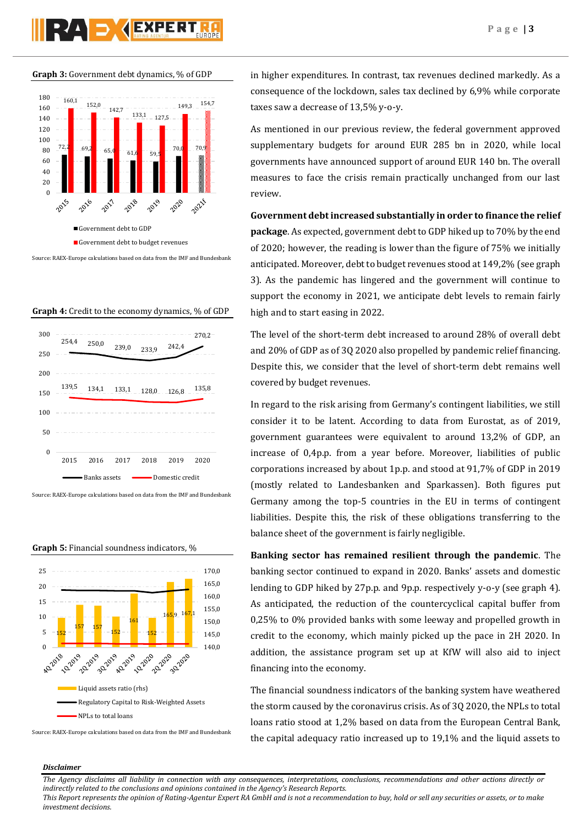## **PAD AEXPERT**

**Graph 3:** Government debt dynamics, % of GDP



Source: RAEX-Europe calculations based on data from the IMF and Bundesbank





Source: RAEX-Europe calculations based on data from the IMF and Bundesbank



**Graph 5:** Financial soundness indicators, %

Source: RAEX-Europe calculations based on data from the IMF and Bundesbank

in higher expenditures. In contrast, tax revenues declined markedly. As a consequence of the lockdown, sales tax declined by 6,9% while corporate taxes saw a decrease of 13,5% y-o-y.

As mentioned in our previous review, the federal government approved supplementary budgets for around EUR 285 bn in 2020, while local governments have announced support of around EUR 140 bn. The overall measures to face the crisis remain practically unchanged from our last review.

#### **Government debt increased substantially in order to finance the relief**

**package**. As expected, government debt to GDP hiked up to 70% by the end of 2020; however, the reading is lower than the figure of 75% we initially anticipated. Moreover, debt to budget revenues stood at 149,2% (see graph 3). As the pandemic has lingered and the government will continue to support the economy in 2021, we anticipate debt levels to remain fairly high and to start easing in 2022.

The level of the short-term debt increased to around 28% of overall debt and 20% of GDP as of 3Q 2020 also propelled by pandemic relief financing. Despite this, we consider that the level of short-term debt remains well covered by budget revenues.

In regard to the risk arising from Germany's contingent liabilities, we still consider it to be latent. According to data from Eurostat, as of 2019, government guarantees were equivalent to around 13,2% of GDP, an increase of 0,4p.p. from a year before. Moreover, liabilities of public corporations increased by about 1p.p. and stood at 91,7% of GDP in 2019 (mostly related to Landesbanken and Sparkassen). Both figures put Germany among the top-5 countries in the EU in terms of contingent liabilities. Despite this, the risk of these obligations transferring to the balance sheet of the government is fairly negligible.

**Banking sector has remained resilient through the pandemic**. The banking sector continued to expand in 2020. Banks' assets and domestic lending to GDP hiked by 27p.p. and 9p.p. respectively y-o-y (see graph 4). As anticipated, the reduction of the countercyclical capital buffer from 0,25% to 0% provided banks with some leeway and propelled growth in credit to the economy, which mainly picked up the pace in 2H 2020. In addition, the assistance program set up at KfW will also aid to inject financing into the economy.

The financial soundness indicators of the banking system have weathered the storm caused by the coronavirus crisis. As of 3Q 2020, the NPLs to total loans ratio stood at 1,2% based on data from the European Central Bank, the capital adequacy ratio increased up to 19,1% and the liquid assets to

#### *Disclaimer*

*The Agency disclaims all liability in connection with any consequences, interpretations, conclusions, recommendations and other actions directly or indirectly related to the conclusions and opinions contained in the Agency's Research Reports.*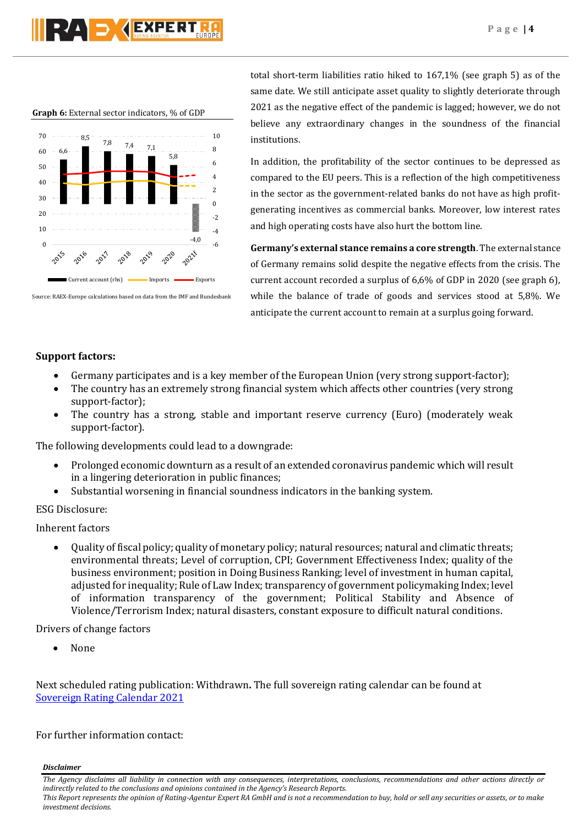# **DY GEXPERT**

#### **Graph 6:** External sector indicators, % of GDP



Source: RAEX-Europe calculations based on data from the IMF and Bundesbank

total short-term liabilities ratio hiked to 167,1% (see graph 5) as of the same date. We still anticipate asset quality to slightly deteriorate through 2021 as the negative effect of the pandemic is lagged; however, we do not believe any extraordinary changes in the soundness of the financial institutions.

In addition, the profitability of the sector continues to be depressed as compared to the EU peers. This is a reflection of the high competitiveness in the sector as the government-related banks do not have as high profitgenerating incentives as commercial banks. Moreover, low interest rates and high operating costs have also hurt the bottom line.

**Germany's external stance remains a core strength**. The external stance of Germany remains solid despite the negative effects from the crisis. The current account recorded a surplus of 6,6% of GDP in 2020 (see graph 6), while the balance of trade of goods and services stood at 5,8%. We anticipate the current account to remain at a surplus going forward.

## **Support factors:**

- Germany participates and is a key member of the European Union (very strong support-factor);
- The country has an extremely strong financial system which affects other countries (very strong support-factor);
- The country has a strong, stable and important reserve currency (Euro) (moderately weak support-factor).

The following developments could lead to a downgrade:

- Prolonged economic downturn as a result of an extended coronavirus pandemic which will result in a lingering deterioration in public finances;
- Substantial worsening in financial soundness indicators in the banking system.

## ESG Disclosure:

Inherent factors

 Quality of fiscal policy; quality of monetary policy; natural resources; natural and climatic threats; environmental threats; Level of corruption, CPI; Government Effectiveness Index; quality of the business environment; position in Doing Business Ranking; level of investment in human capital, adjusted for inequality; Rule of Law Index; transparency of government policymaking Index; level of information transparency of the government; Political Stability and Absence of Violence/Terrorism Index; natural disasters, constant exposure to difficult natural conditions.

Drivers of change factors

None

Next scheduled rating publication: Withdrawn**.** The full sovereign rating calendar can be found at [Sovereign Rating Calendar 2021](https://raexpert.eu/sovereign/#conf-tab-5)

## For further information contact:

*Disclaimer* 

*investment decisions.*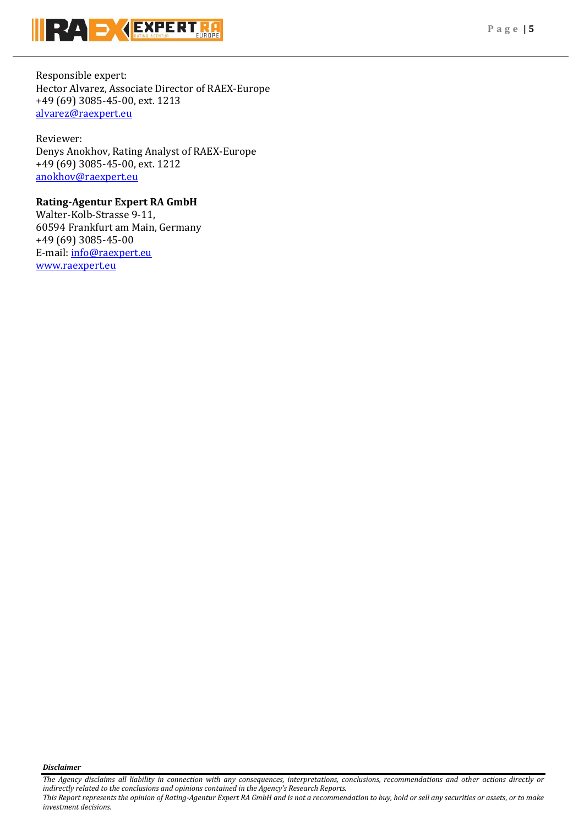

Responsible expert: Hector Alvarez, Associate Director of RAEX-Europe +49 (69) 3085-45-00, ext. 1213 [alvarez@raexpert.eu](mailto:alvarez@raexpert.eu)

Reviewer: Denys Anokhov, Rating Analyst of RAEX-Europe +49 (69) 3085-45-00, ext. 1212 [anokhov@raexpert.eu](mailto:anokhov@raexpert.eu)

## **Rating-Agentur Expert RA GmbH**

Walter-Kolb-Strasse 9-11, 60594 Frankfurt am Main, Germany +49 (69) 3085-45-00 E-mail[: info@raexpert.eu](mailto:info@raexpert.eu) [www.raexpert.eu](http://raexpert.eu/)

*Disclaimer* 

*investment decisions.*

*The Agency disclaims all liability in connection with any consequences, interpretations, conclusions, recommendations and other actions directly or indirectly related to the conclusions and opinions contained in the Agency's Research Reports. This Report represents the opinion of Rating-Agentur Expert RA GmbH and is not a recommendation to buy, hold or sell any securities or assets, or to make*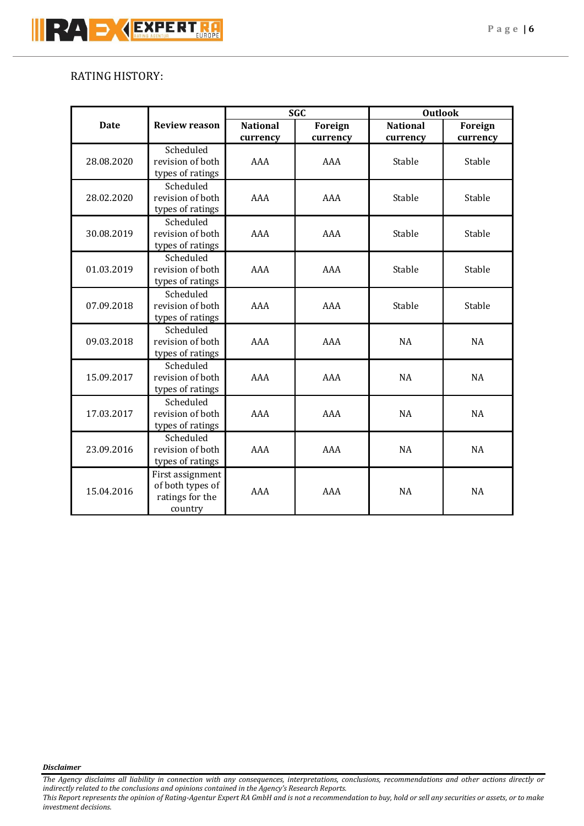## RATING HISTORY:

|             |                      | <b>SGC</b>       |          | <b>Outlook</b>  |           |           |
|-------------|----------------------|------------------|----------|-----------------|-----------|-----------|
| <b>Date</b> | <b>Review reason</b> | <b>National</b>  | Foreign  | <b>National</b> | Foreign   |           |
|             |                      | currency         | currency | currency        | currency  |           |
| 28.08.2020  | Scheduled            |                  |          |                 |           |           |
|             | revision of both     | AAA              |          | AAA             | Stable    | Stable    |
|             | types of ratings     |                  |          |                 |           |           |
|             | Scheduled            |                  |          |                 |           |           |
| 28.02.2020  | revision of both     | AAA<br>AAA       |          | Stable          | Stable    |           |
|             | types of ratings     |                  |          |                 |           |           |
|             | Scheduled            |                  |          |                 |           |           |
| 30.08.2019  | revision of both     | AAA              | AAA      | Stable          | Stable    |           |
|             | types of ratings     |                  |          |                 |           |           |
|             | Scheduled            | AAA              | AAA      | Stable          | Stable    |           |
| 01.03.2019  | revision of both     |                  |          |                 |           |           |
|             | types of ratings     |                  |          |                 |           |           |
|             | Scheduled            |                  |          |                 |           |           |
| 07.09.2018  | revision of both     | AAA              | AAA      | Stable          | Stable    |           |
|             | types of ratings     |                  |          |                 |           |           |
|             | Scheduled            |                  |          |                 |           |           |
| 09.03.2018  | revision of both     | AAA              | AAA      | <b>NA</b>       | <b>NA</b> |           |
|             | types of ratings     |                  |          |                 |           |           |
|             | Scheduled            |                  |          |                 |           |           |
| 15.09.2017  | revision of both     | AAA              | AAA      | <b>NA</b>       | <b>NA</b> |           |
|             |                      | types of ratings |          |                 |           |           |
| 17.03.2017  | Scheduled            |                  |          |                 |           |           |
|             | revision of both     | AAA              |          | AAA             | <b>NA</b> | <b>NA</b> |
|             | types of ratings     |                  |          |                 |           |           |
| 23.09.2016  | Scheduled            |                  |          |                 |           |           |
|             | revision of both     | AAA              |          | AAA             | <b>NA</b> | <b>NA</b> |
|             | types of ratings     |                  |          |                 |           |           |
| 15.04.2016  | First assignment     |                  |          |                 |           |           |
|             | of both types of     |                  |          | AAA             | AAA       | <b>NA</b> |
|             | ratings for the      |                  |          |                 |           |           |
|             | country              |                  |          |                 |           |           |

*Disclaimer* 

*The Agency disclaims all liability in connection with any consequences, interpretations, conclusions, recommendations and other actions directly or indirectly related to the conclusions and opinions contained in the Agency's Research Reports.*